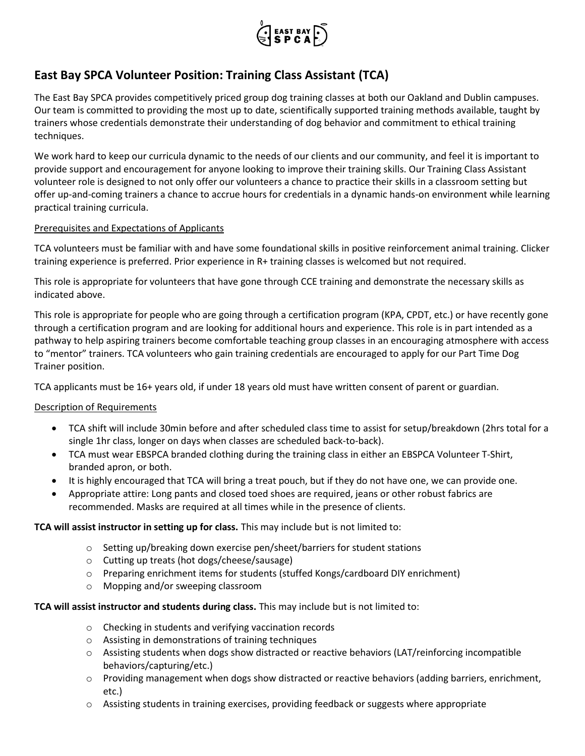

# **East Bay SPCA Volunteer Position: Training Class Assistant (TCA)**

The East Bay SPCA provides competitively priced group dog training classes at both our Oakland and Dublin campuses. Our team is committed to providing the most up to date, scientifically supported training methods available, taught by trainers whose credentials demonstrate their understanding of dog behavior and commitment to ethical training techniques.

We work hard to keep our curricula dynamic to the needs of our clients and our community, and feel it is important to provide support and encouragement for anyone looking to improve their training skills. Our Training Class Assistant volunteer role is designed to not only offer our volunteers a chance to practice their skills in a classroom setting but offer up-and-coming trainers a chance to accrue hours for credentials in a dynamic hands-on environment while learning practical training curricula.

## Prerequisites and Expectations of Applicants

TCA volunteers must be familiar with and have some foundational skills in positive reinforcement animal training. Clicker training experience is preferred. Prior experience in R+ training classes is welcomed but not required.

This role is appropriate for volunteers that have gone through CCE training and demonstrate the necessary skills as indicated above.

This role is appropriate for people who are going through a certification program (KPA, CPDT, etc.) or have recently gone through a certification program and are looking for additional hours and experience. This role is in part intended as a pathway to help aspiring trainers become comfortable teaching group classes in an encouraging atmosphere with access to "mentor" trainers. TCA volunteers who gain training credentials are encouraged to apply for our Part Time Dog Trainer position.

TCA applicants must be 16+ years old, if under 18 years old must have written consent of parent or guardian.

## Description of Requirements

- TCA shift will include 30min before and after scheduled class time to assist for setup/breakdown (2hrs total for a single 1hr class, longer on days when classes are scheduled back-to-back).
- TCA must wear EBSPCA branded clothing during the training class in either an EBSPCA Volunteer T-Shirt, branded apron, or both.
- It is highly encouraged that TCA will bring a treat pouch, but if they do not have one, we can provide one.
- Appropriate attire: Long pants and closed toed shoes are required, jeans or other robust fabrics are recommended. Masks are required at all times while in the presence of clients.

## **TCA will assist instructor in setting up for class.** This may include but is not limited to:

- $\circ$  Setting up/breaking down exercise pen/sheet/barriers for student stations
- o Cutting up treats (hot dogs/cheese/sausage)
- o Preparing enrichment items for students (stuffed Kongs/cardboard DIY enrichment)
- o Mopping and/or sweeping classroom

## **TCA will assist instructor and students during class.** This may include but is not limited to:

- o Checking in students and verifying vaccination records
- o Assisting in demonstrations of training techniques
- o Assisting students when dogs show distracted or reactive behaviors (LAT/reinforcing incompatible behaviors/capturing/etc.)
- $\circ$  Providing management when dogs show distracted or reactive behaviors (adding barriers, enrichment, etc.)
- o Assisting students in training exercises, providing feedback or suggests where appropriate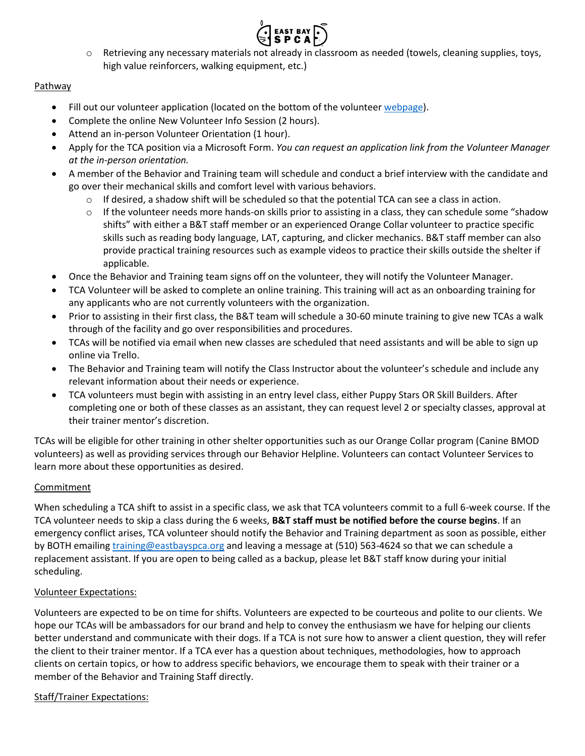

 $\circ$  Retrieving any necessary materials not already in classroom as needed (towels, cleaning supplies, toys, high value reinforcers, walking equipment, etc.)

## **Pathway**

- Fill out our volunteer application (located on the bottom of the volunteer [webpage\)](https://eastbayspca.org/get-involved/volunteer/become-a-volunteer/).
- Complete the online New Volunteer Info Session (2 hours).
- Attend an in-person Volunteer Orientation (1 hour).
- Apply for the TCA position via a Microsoft Form. *You can request an application link from the Volunteer Manager at the in-person orientation.*
- A member of the Behavior and Training team will schedule and conduct a brief interview with the candidate and go over their mechanical skills and comfort level with various behaviors.
	- $\circ$  If desired, a shadow shift will be scheduled so that the potential TCA can see a class in action.
	- o If the volunteer needs more hands-on skills prior to assisting in a class, they can schedule some "shadow shifts" with either a B&T staff member or an experienced Orange Collar volunteer to practice specific skills such as reading body language, LAT, capturing, and clicker mechanics. B&T staff member can also provide practical training resources such as example videos to practice their skills outside the shelter if applicable.
- Once the Behavior and Training team signs off on the volunteer, they will notify the Volunteer Manager.
- TCA Volunteer will be asked to complete an online training. This training will act as an onboarding training for any applicants who are not currently volunteers with the organization.
- Prior to assisting in their first class, the B&T team will schedule a 30-60 minute training to give new TCAs a walk through of the facility and go over responsibilities and procedures.
- TCAs will be notified via email when new classes are scheduled that need assistants and will be able to sign up online via Trello.
- The Behavior and Training team will notify the Class Instructor about the volunteer's schedule and include any relevant information about their needs or experience.
- TCA volunteers must begin with assisting in an entry level class, either Puppy Stars OR Skill Builders. After completing one or both of these classes as an assistant, they can request level 2 or specialty classes, approval at their trainer mentor's discretion.

TCAs will be eligible for other training in other shelter opportunities such as our Orange Collar program (Canine BMOD volunteers) as well as providing services through our Behavior Helpline. Volunteers can contact Volunteer Services to learn more about these opportunities as desired.

## **Commitment**

When scheduling a TCA shift to assist in a specific class, we ask that TCA volunteers commit to a full 6-week course. If the TCA volunteer needs to skip a class during the 6 weeks, **B&T staff must be notified before the course begins**. If an emergency conflict arises, TCA volunteer should notify the Behavior and Training department as soon as possible, either by BOTH emailing [training@eastbayspca.org](mailto:training@eastbayspca.org) and leaving a message at (510) 563-4624 so that we can schedule a replacement assistant. If you are open to being called as a backup, please let B&T staff know during your initial scheduling.

## Volunteer Expectations:

Volunteers are expected to be on time for shifts. Volunteers are expected to be courteous and polite to our clients. We hope our TCAs will be ambassadors for our brand and help to convey the enthusiasm we have for helping our clients better understand and communicate with their dogs. If a TCA is not sure how to answer a client question, they will refer the client to their trainer mentor. If a TCA ever has a question about techniques, methodologies, how to approach clients on certain topics, or how to address specific behaviors, we encourage them to speak with their trainer or a member of the Behavior and Training Staff directly.

## Staff/Trainer Expectations: